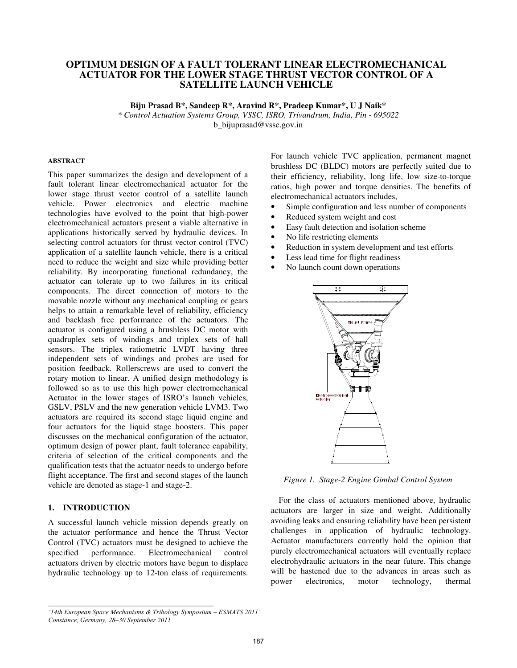# **ACTUATOR FOR THE LOWER STAGE THRUST VECTOR CONTROL OF A OPTIMUM DESIGN OF A FAULT TOLERANT LINEAR ELECTROMECHANICAL SATELLITE LAUNCH VEHICLE**

**Biju Prasad B\*, Sandeep R\*, Aravind R\*, Pradeep Kumar\*, U J Naik\*** 

*\* Control Actuation Systems Group, VSSC, ISRO, Trivandrum, India, Pin - 695022*  b\_bijuprasad@vssc.gov.in

## **ABSTRACT**

This paper summarizes the design and development of a fault tolerant linear electromechanical actuator for the lower stage thrust vector control of a satellite launch vehicle. Power electronics and electric machine technologies have evolved to the point that high-power electromechanical actuators present a viable alternative in applications historically served by hydraulic devices. In selecting control actuators for thrust vector control (TVC) application of a satellite launch vehicle, there is a critical need to reduce the weight and size while providing better reliability. By incorporating functional redundancy, the actuator can tolerate up to two failures in its critical components. The direct connection of motors to the movable nozzle without any mechanical coupling or gears helps to attain a remarkable level of reliability, efficiency and backlash free performance of the actuators. The actuator is configured using a brushless DC motor with quadruplex sets of windings and triplex sets of hall sensors. The triplex ratiometric LVDT having three independent sets of windings and probes are used for position feedback. Rollerscrews are used to convert the rotary motion to linear. A unified design methodology is followed so as to use this high power electromechanical Actuator in the lower stages of ISRO's launch vehicles, GSLV, PSLV and the new generation vehicle LVM3. Two actuators are required its second stage liquid engine and four actuators for the liquid stage boosters. This paper discusses on the mechanical configuration of the actuator, optimum design of power plant, fault tolerance capability, criteria of selection of the critical components and the qualification tests that the actuator needs to undergo before flight acceptance. The first and second stages of the launch vehicle are denoted as stage-1 and stage-2.

## **1. INTRODUCTION**

A successful launch vehicle mission depends greatly on the actuator performance and hence the Thrust Vector Control (TVC) actuators must be designed to achieve the specified performance. Electromechanical control actuators driven by electric motors have begun to displace hydraulic technology up to 12-ton class of requirements.

For launch vehicle TVC application, permanent magnet brushless DC (BLDC) motors are perfectly suited due to their efficiency, reliability, long life, low size-to-torque ratios, high power and torque densities. The benefits of electromechanical actuators includes,

- Simple configuration and less number of components
- Reduced system weight and cost
- Easy fault detection and isolation scheme
- No life restricting elements
- Reduction in system development and test efforts
- Less lead time for flight readiness
- No launch count down operations



*Figure 1. Stage-2 Engine Gimbal Control System* 

For the class of actuators mentioned above, hydraulic actuators are larger in size and weight. Additionally avoiding leaks and ensuring reliability have been persistent challenges in application of hydraulic technology. Actuator manufacturers currently hold the opinion that purely electromechanical actuators will eventually replace electrohydraulic actuators in the near future. This change will be hastened due to the advances in areas such as power electronics, motor technology, thermal

*<sup>&#</sup>x27;14th European Space Mechanisms & Tribology Symposium – ESMATS 2011' Constance, Germany, 28–30 September 2011*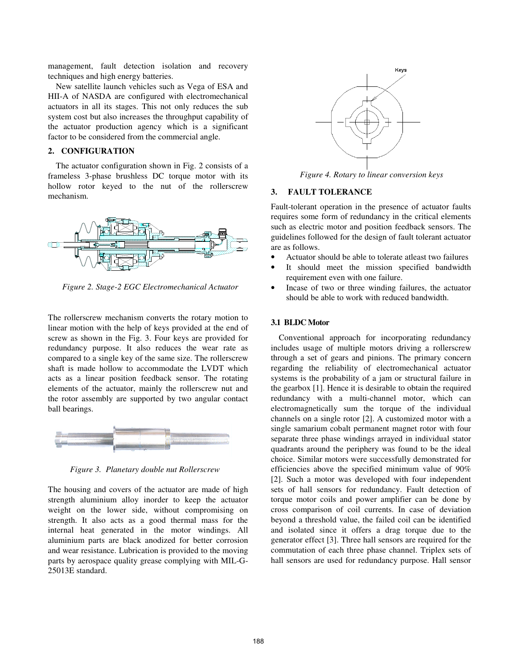management, fault detection isolation and recovery techniques and high energy batteries.

New satellite launch vehicles such as Vega of ESA and HII-A of NASDA are configured with electromechanical actuators in all its stages. This not only reduces the sub system cost but also increases the throughput capability of the actuator production agency which is a significant factor to be considered from the commercial angle.

## **2. CONFIGURATION**

The actuator configuration shown in Fig. 2 consists of a frameless 3-phase brushless DC torque motor with its hollow rotor keyed to the nut of the rollerscrew mechanism.



*Figure 2. Stage-2 EGC Electromechanical Actuator* 

The rollerscrew mechanism converts the rotary motion to linear motion with the help of keys provided at the end of screw as shown in the Fig. 3. Four keys are provided for redundancy purpose. It also reduces the wear rate as compared to a single key of the same size. The rollerscrew shaft is made hollow to accommodate the LVDT which acts as a linear position feedback sensor. The rotating elements of the actuator, mainly the rollerscrew nut and the rotor assembly are supported by two angular contact ball bearings.



*Figure 3. Planetary double nut Rollerscrew* 

The housing and covers of the actuator are made of high strength aluminium alloy inorder to keep the actuator weight on the lower side, without compromising on strength. It also acts as a good thermal mass for the internal heat generated in the motor windings. All aluminium parts are black anodized for better corrosion and wear resistance. Lubrication is provided to the moving parts by aerospace quality grease complying with MIL-G-25013E standard.



*Figure 4. Rotary to linear conversion keys* 

# **3. FAULT TOLERANCE**

Fault-tolerant operation in the presence of actuator faults requires some form of redundancy in the critical elements such as electric motor and position feedback sensors. The guidelines followed for the design of fault tolerant actuator are as follows.

- Actuator should be able to tolerate at least two failures
- It should meet the mission specified bandwidth requirement even with one failure.
- Incase of two or three winding failures, the actuator should be able to work with reduced bandwidth.

### **3.1 BLDC Motor**

Conventional approach for incorporating redundancy includes usage of multiple motors driving a rollerscrew through a set of gears and pinions. The primary concern regarding the reliability of electromechanical actuator systems is the probability of a jam or structural failure in the gearbox [1]. Hence it is desirable to obtain the required redundancy with a multi-channel motor, which can electromagnetically sum the torque of the individual channels on a single rotor [2]. A customized motor with a single samarium cobalt permanent magnet rotor with four separate three phase windings arrayed in individual stator quadrants around the periphery was found to be the ideal choice. Similar motors were successfully demonstrated for efficiencies above the specified minimum value of 90% [2]. Such a motor was developed with four independent sets of hall sensors for redundancy. Fault detection of torque motor coils and power amplifier can be done by cross comparison of coil currents. In case of deviation beyond a threshold value, the failed coil can be identified and isolated since it offers a drag torque due to the generator effect [3]. Three hall sensors are required for the commutation of each three phase channel. Triplex sets of hall sensors are used for redundancy purpose. Hall sensor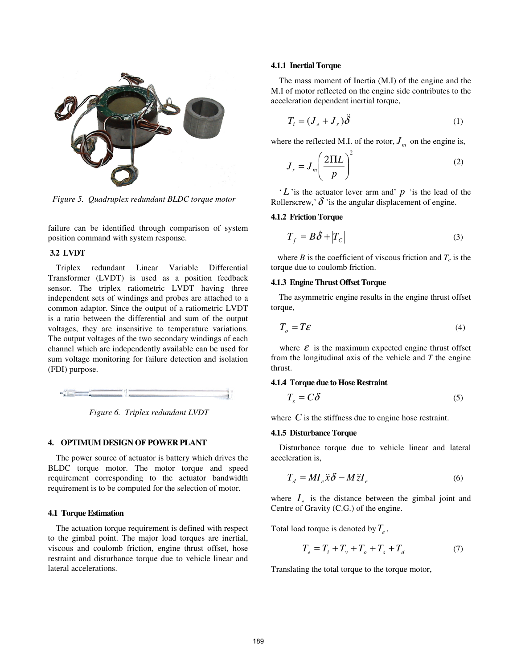

*Figure 5. Quadruplex redundant BLDC torque motor* 

failure can be identified through comparison of system position command with system response.

## **3.2 LVDT**

Triplex redundant Linear Variable Differential Transformer (LVDT) is used as a position feedback sensor. The triplex ratiometric LVDT having three independent sets of windings and probes are attached to a common adaptor. Since the output of a ratiometric LVDT is a ratio between the differential and sum of the output voltages, they are insensitive to temperature variations. The output voltages of the two secondary windings of each channel which are independently available can be used for sum voltage monitoring for failure detection and isolation (FDI) purpose.



*Figure 6. Triplex redundant LVDT* 

#### **4. OPTIMUM DESIGN OF POWER PLANT**

The power source of actuator is battery which drives the BLDC torque motor. The motor torque and speed requirement corresponding to the actuator bandwidth requirement is to be computed for the selection of motor.

#### **4.1 Torque Estimation**

The actuation torque requirement is defined with respect to the gimbal point. The major load torques are inertial, viscous and coulomb friction, engine thrust offset, hose restraint and disturbance torque due to vehicle linear and lateral accelerations.

#### **4.1.1 Inertial Torque**

The mass moment of Inertia (M.I) of the engine and the M.I of motor reflected on the engine side contributes to the acceleration dependent inertial torque,

$$
T_i = (J_e + J_r)\ddot{\delta}
$$
 (1)

where the reflected M.I. of the rotor,  $J_m$  on the engine is,

$$
J_r = J_m \left(\frac{2\Pi L}{p}\right)^2 \tag{2}
$$

 $'L$  'is the actuator lever arm and'  $p$  'is the lead of the Rollerscrew,' $\delta$  'is the angular displacement of engine.

## **4.1.2 Friction Torque**

$$
T_f = B\dot{\delta} + |T_c| \tag{3}
$$

where *B* is the coefficient of viscous friction and  $T_c$  is the torque due to coulomb friction.

## **4.1.3 Engine Thrust Offset Torque**

The asymmetric engine results in the engine thrust offset torque,

$$
T_o = T\mathcal{E} \tag{4}
$$

where  $\mathcal E$  is the maximum expected engine thrust offset from the longitudinal axis of the vehicle and *T* the engine thrust.

### **4.1.4 Torque due to Hose Restraint**

$$
T_s = C\delta \tag{5}
$$

where  $C$  is the stiffness due to engine hose restraint.

## **4.1.5 Disturbance Torque**

 Disturbance torque due to vehicle linear and lateral acceleration is,

$$
T_d = M I_e \ddot{x} \delta - M \ddot{z} I_e \tag{6}
$$

where  $I_e$  is the distance between the gimbal joint and Centre of Gravity (C.G.) of the engine.

Total load torque is denoted by*T<sup>e</sup>* ,

$$
T_e = T_i + T_v + T_o + T_s + T_d \tag{7}
$$

Translating the total torque to the torque motor,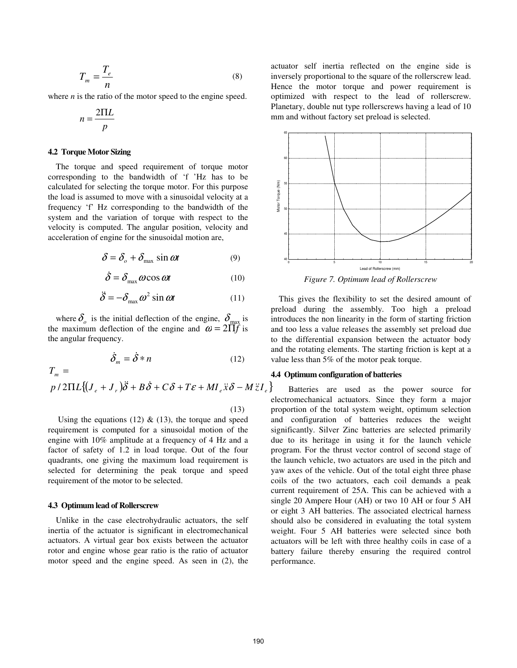$$
T_m = \frac{T_e}{n}
$$
 (8)

where *n* is the ratio of the motor speed to the engine speed.

$$
n = \frac{2 \Pi L}{p}
$$

### **4.2 Torque Motor Sizing**

The torque and speed requirement of torque motor corresponding to the bandwidth of 'f 'Hz has to be calculated for selecting the torque motor. For this purpose the load is assumed to move with a sinusoidal velocity at a frequency 'f' Hz corresponding to the bandwidth of the system and the variation of torque with respect to the velocity is computed. The angular position, velocity and acceleration of engine for the sinusoidal motion are,

$$
\delta = \delta_o + \delta_{\text{max}} \sin \omega t \tag{9}
$$

$$
\dot{\delta} = \delta_{\text{max}} \omega \cos \omega t \tag{10}
$$

$$
\ddot{\delta} = -\delta_{\text{max}} \omega^2 \sin \omega t \tag{11}
$$

where  $\delta$ <sub>o</sub> is the initial deflection of the engine,  $\delta$ <sub>max</sub> is the maximum deflection of the engine and  $\omega = 2\overrightarrow{\Pi}f$  is the angular frequency.

$$
\dot{\delta}_m = \dot{\delta} * n \tag{12}
$$

$$
T_m = 4
$$
  

$$
p/2\Pi L\{(J_e + J_r)\ddot{\delta} + B\dot{\delta} + C\delta + T\epsilon + MI_e \ddot{x}\delta - M\ddot{z}I_e\}
$$

Using the equations (12)  $\&$  (13), the torque and speed requirement is computed for a sinusoidal motion of the engine with 10% amplitude at a frequency of 4 Hz and a factor of safety of 1.2 in load torque. Out of the four quadrants, one giving the maximum load requirement is selected for determining the peak torque and speed requirement of the motor to be selected.

#### **4.3 Optimum lead of Rollerscrew**

Unlike in the case electrohydraulic actuators, the self inertia of the actuator is significant in electromechanical actuators. A virtual gear box exists between the actuator rotor and engine whose gear ratio is the ratio of actuator motor speed and the engine speed. As seen in (2), the actuator self inertia reflected on the engine side is inversely proportional to the square of the rollerscrew lead. Hence the motor torque and power requirement is optimized with respect to the lead of rollerscrew. Planetary, double nut type rollerscrews having a lead of 10 mm and without factory set preload is selected.



*Figure 7. Optimum lead of Rollerscrew* 

This gives the flexibility to set the desired amount of preload during the assembly. Too high a preload introduces the non linearity in the form of starting friction and too less a value releases the assembly set preload due to the differential expansion between the actuator body and the rotating elements. The starting friction is kept at a value less than 5% of the motor peak torque.

## **4.4 Optimum configuration of batteries**

Batteries are used as the power source for electromechanical actuators. Since they form a major proportion of the total system weight, optimum selection and configuration of batteries reduces the weight significantly. Silver Zinc batteries are selected primarily due to its heritage in using it for the launch vehicle program. For the thrust vector control of second stage of the launch vehicle, two actuators are used in the pitch and yaw axes of the vehicle. Out of the total eight three phase coils of the two actuators, each coil demands a peak current requirement of 25A. This can be achieved with a single 20 Ampere Hour (AH) or two 10 AH or four 5 AH or eight 3 AH batteries. The associated electrical harness should also be considered in evaluating the total system weight. Four 5 AH batteries were selected since both actuators will be left with three healthy coils in case of a battery failure thereby ensuring the required control performance.

(13)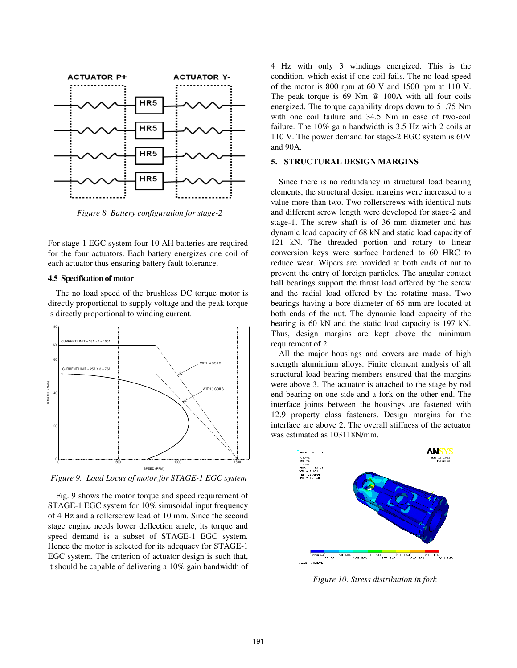

*Figure 8. Battery configuration for stage-2* 

For stage-1 EGC system four 10 AH batteries are required for the four actuators. Each battery energizes one coil of each actuator thus ensuring battery fault tolerance.

### **4.5 Specification of motor**

The no load speed of the brushless DC torque motor is directly proportional to supply voltage and the peak torque is directly proportional to winding current.



*Figure 9. Load Locus of motor for STAGE-1 EGC system*

Fig. 9 shows the motor torque and speed requirement of STAGE-1 EGC system for 10% sinusoidal input frequency of 4 Hz and a rollerscrew lead of 10 mm. Since the second stage engine needs lower deflection angle, its torque and speed demand is a subset of STAGE-1 EGC system. Hence the motor is selected for its adequacy for STAGE-1 EGC system. The criterion of actuator design is such that, it should be capable of delivering a 10% gain bandwidth of

4 Hz with only 3 windings energized. This is the condition, which exist if one coil fails. The no load speed of the motor is 800 rpm at 60 V and 1500 rpm at 110 V. The peak torque is 69 Nm @ 100A with all four coils energized. The torque capability drops down to 51.75 Nm with one coil failure and 34.5 Nm in case of two-coil failure. The 10% gain bandwidth is 3.5 Hz with 2 coils at 110 V. The power demand for stage-2 EGC system is 60V and 90A.

## **5. STRUCTURAL DESIGN MARGINS**

Since there is no redundancy in structural load bearing elements, the structural design margins were increased to a value more than two. Two rollerscrews with identical nuts and different screw length were developed for stage-2 and stage-1. The screw shaft is of 36 mm diameter and has dynamic load capacity of 68 kN and static load capacity of 121 kN. The threaded portion and rotary to linear conversion keys were surface hardened to 60 HRC to reduce wear. Wipers are provided at both ends of nut to prevent the entry of foreign particles. The angular contact ball bearings support the thrust load offered by the screw and the radial load offered by the rotating mass. Two bearings having a bore diameter of 65 mm are located at both ends of the nut. The dynamic load capacity of the bearing is 60 kN and the static load capacity is 197 kN. Thus, design margins are kept above the minimum requirement of 2.

All the major housings and covers are made of high strength aluminium alloys. Finite element analysis of all structural load bearing members ensured that the margins were above 3. The actuator is attached to the stage by rod end bearing on one side and a fork on the other end. The interface joints between the housings are fastened with 12.9 property class fasteners. Design margins for the interface are above 2. The overall stiffness of the actuator was estimated as 103118N/mm.



*Figure 10. Stress distribution in fork*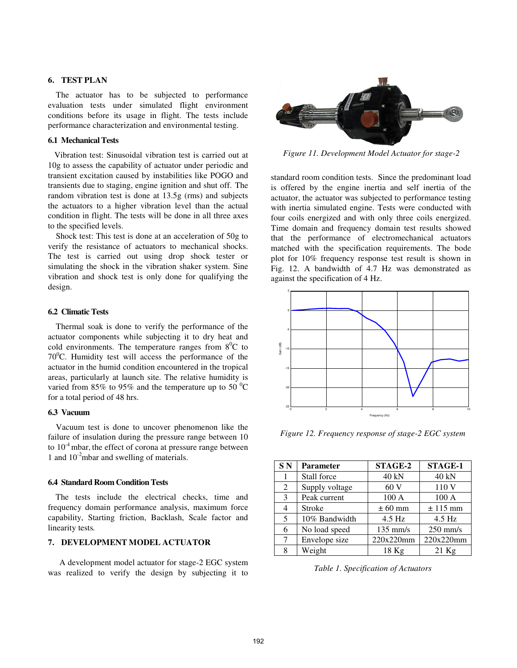## **6. TEST PLAN**

The actuator has to be subjected to performance evaluation tests under simulated flight environment conditions before its usage in flight. The tests include performance characterization and environmental testing.

## **6.1 Mechanical Tests**

 Vibration test: Sinusoidal vibration test is carried out at 10g to assess the capability of actuator under periodic and transient excitation caused by instabilities like POGO and transients due to staging, engine ignition and shut off. The random vibration test is done at 13.5g (rms) and subjects the actuators to a higher vibration level than the actual condition in flight. The tests will be done in all three axes to the specified levels.

Shock test: This test is done at an acceleration of 50g to verify the resistance of actuators to mechanical shocks. The test is carried out using drop shock tester or simulating the shock in the vibration shaker system. Sine vibration and shock test is only done for qualifying the design.

#### **6.2 Climatic Tests**

Thermal soak is done to verify the performance of the actuator components while subjecting it to dry heat and cold environments. The temperature ranges from  $8^0C$  to  $70^0$ C. Humidity test will access the performance of the actuator in the humid condition encountered in the tropical areas, particularly at launch site. The relative humidity is varied from 85% to 95% and the temperature up to 50  $^{\circ}$ C for a total period of 48 hrs.

## **6.3 Vacuum**

Vacuum test is done to uncover phenomenon like the failure of insulation during the pressure range between 10 to 10<sup>-4</sup> mbar, the effect of corona at pressure range between 1 and 10 -2mbar and swelling of materials.

# **6.4 Standard Room Condition Tests**

The tests include the electrical checks, time and frequency domain performance analysis, maximum force capability, Starting friction, Backlash, Scale factor and linearity tests*.* 

# **7. DEVELOPMENT MODEL ACTUATOR**

A development model actuator for stage-2 EGC system was realized to verify the design by subjecting it to



*Figure 11. Development Model Actuator for stage-2* 

standard room condition tests. Since the predominant load is offered by the engine inertia and self inertia of the actuator, the actuator was subjected to performance testing with inertia simulated engine. Tests were conducted with four coils energized and with only three coils energized. Time domain and frequency domain test results showed that the performance of electromechanical actuators matched with the specification requirements. The bode plot for 10% frequency response test result is shown in Fig. 12. A bandwidth of 4.7 Hz was demonstrated as against the specification of 4 Hz.



*Figure 12. Frequency response of stage-2 EGC system* 

| SN <sub></sub> | <b>Parameter</b> | STAGE-2     | STAGE-1      |
|----------------|------------------|-------------|--------------|
| 1              | Stall force      | 40 kN       | 40 kN        |
| 2              | Supply voltage   | 60V         | 110 V        |
| 3              | Peak current     | 100 A       | 100 A        |
| 4              | <b>Stroke</b>    | $\pm 60$ mm | $\pm$ 115 mm |
| 5              | 10% Bandwidth    | 4.5 Hz      | $4.5$ Hz     |
| 6              | No load speed    | $135$ mm/s  | $250$ mm/s   |
| 7              | Envelope size    | 220x220mm   | 220x220mm    |
| 8              | Weight           | $18$ Kg     | $21$ Kg      |

*Table 1. Specification of Actuators*